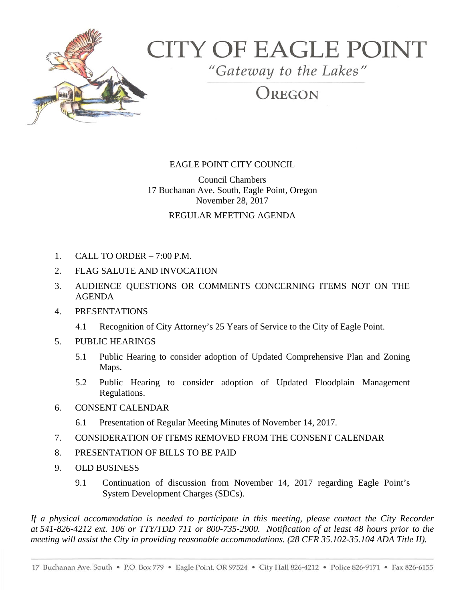

# **CITY OF EAGLE POINT**

"Gateway to the Lakes"

OREGON

# EAGLE POINT CITY COUNCIL

Council Chambers 17 Buchanan Ave. South, Eagle Point, Oregon November 28, 2017

## REGULAR MEETING AGENDA

- 1. CALL TO ORDER 7:00 P.M.
- 2. FLAG SALUTE AND INVOCATION
- 3. AUDIENCE QUESTIONS OR COMMENTS CONCERNING ITEMS NOT ON THE AGENDA
- 4. PRESENTATIONS
	- 4.1 Recognition of City Attorney's 25 Years of Service to the City of Eagle Point.
- 5. PUBLIC HEARINGS
	- 5.1 Public Hearing to consider adoption of Updated Comprehensive Plan and Zoning Maps.
	- 5.2 Public Hearing to consider adoption of Updated Floodplain Management Regulations.
- 6. CONSENT CALENDAR
	- 6.1 Presentation of Regular Meeting Minutes of November 14, 2017.
- 7. CONSIDERATION OF ITEMS REMOVED FROM THE CONSENT CALENDAR
- 8. PRESENTATION OF BILLS TO BE PAID
- 9. OLD BUSINESS
	- 9.1 Continuation of discussion from November 14, 2017 regarding Eagle Point's System Development Charges (SDCs).

*If a physical accommodation is needed to participate in this meeting, please contact the City Recorder at 541-826-4212 ext. 106 or TTY/TDD 711 or 800-735-2900. Notification of at least 48 hours prior to the meeting will assist the City in providing reasonable accommodations. (28 CFR 35.102-35.104 ADA Title II).*